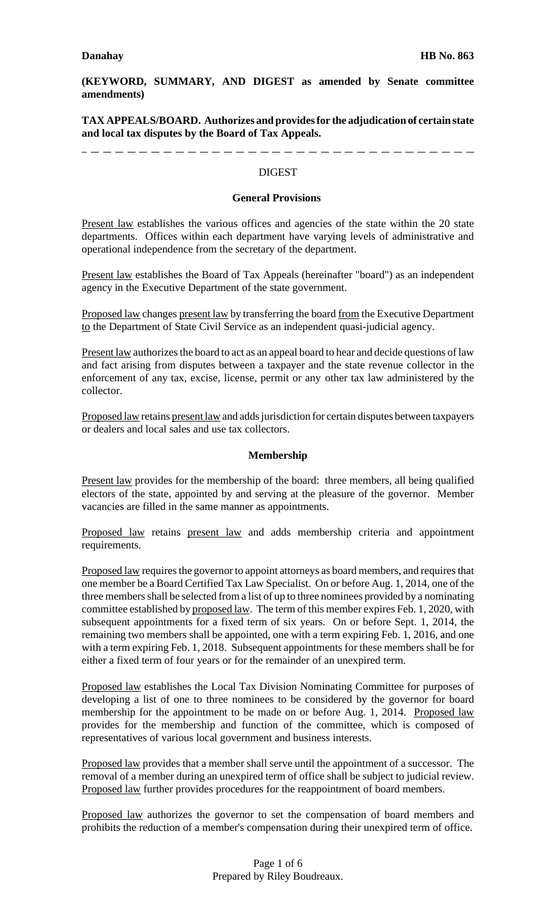**(KEYWORD, SUMMARY, AND DIGEST as amended by Senate committee amendments)**

**TAX APPEALS/BOARD. Authorizes and provides for the adjudication of certain state and local tax disputes by the Board of Tax Appeals.**

-------------------------------------**DIGEST** 

#### **General Provisions**

Present law establishes the various offices and agencies of the state within the 20 state departments. Offices within each department have varying levels of administrative and operational independence from the secretary of the department.

Present law establishes the Board of Tax Appeals (hereinafter "board") as an independent agency in the Executive Department of the state government.

Proposed law changes present law by transferring the board from the Executive Department to the Department of State Civil Service as an independent quasi-judicial agency.

Present law authorizes the board to act as an appeal board to hear and decide questions of law and fact arising from disputes between a taxpayer and the state revenue collector in the enforcement of any tax, excise, license, permit or any other tax law administered by the collector.

Proposed law retains present law and adds jurisdiction for certain disputes between taxpayers or dealers and local sales and use tax collectors.

#### **Membership**

Present law provides for the membership of the board: three members, all being qualified electors of the state, appointed by and serving at the pleasure of the governor. Member vacancies are filled in the same manner as appointments.

Proposed law retains present law and adds membership criteria and appointment requirements.

Proposed law requires the governor to appoint attorneys as board members, and requires that one member be a Board Certified Tax Law Specialist. On or before Aug. 1, 2014, one of the three members shall be selected from a list of up to three nominees provided by a nominating committee established by proposed law. The term of this member expires Feb. 1, 2020, with subsequent appointments for a fixed term of six years. On or before Sept. 1, 2014, the remaining two members shall be appointed, one with a term expiring Feb. 1, 2016, and one with a term expiring Feb. 1, 2018. Subsequent appointments for these members shall be for either a fixed term of four years or for the remainder of an unexpired term.

Proposed law establishes the Local Tax Division Nominating Committee for purposes of developing a list of one to three nominees to be considered by the governor for board membership for the appointment to be made on or before Aug. 1, 2014. Proposed law provides for the membership and function of the committee, which is composed of representatives of various local government and business interests.

Proposed law provides that a member shall serve until the appointment of a successor. The removal of a member during an unexpired term of office shall be subject to judicial review. Proposed law further provides procedures for the reappointment of board members.

Proposed law authorizes the governor to set the compensation of board members and prohibits the reduction of a member's compensation during their unexpired term of office.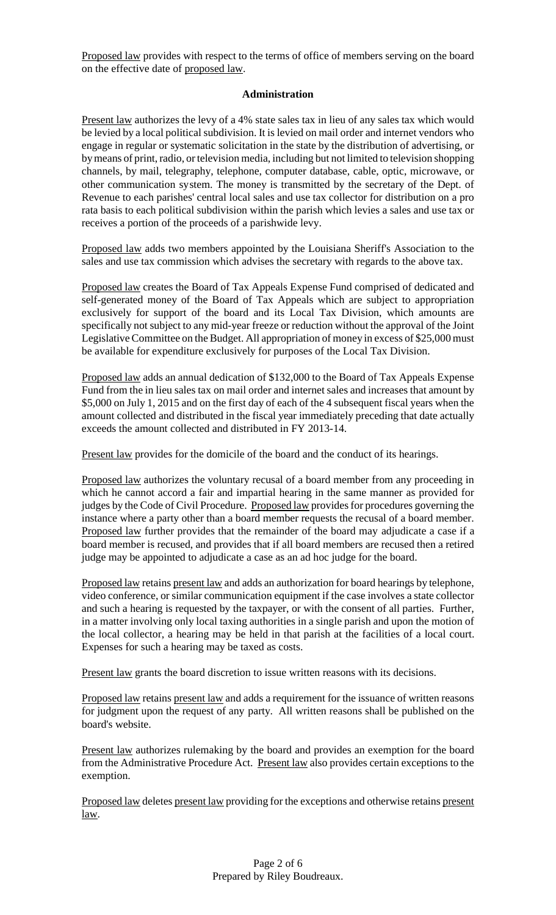Proposed law provides with respect to the terms of office of members serving on the board on the effective date of proposed law.

## **Administration**

Present law authorizes the levy of a 4% state sales tax in lieu of any sales tax which would be levied by a local political subdivision. It is levied on mail order and internet vendors who engage in regular or systematic solicitation in the state by the distribution of advertising, or by means of print, radio, or television media, including but not limited to television shopping channels, by mail, telegraphy, telephone, computer database, cable, optic, microwave, or other communication system. The money is transmitted by the secretary of the Dept. of Revenue to each parishes' central local sales and use tax collector for distribution on a pro rata basis to each political subdivision within the parish which levies a sales and use tax or receives a portion of the proceeds of a parishwide levy.

Proposed law adds two members appointed by the Louisiana Sheriff's Association to the sales and use tax commission which advises the secretary with regards to the above tax.

Proposed law creates the Board of Tax Appeals Expense Fund comprised of dedicated and self-generated money of the Board of Tax Appeals which are subject to appropriation exclusively for support of the board and its Local Tax Division, which amounts are specifically not subject to any mid-year freeze or reduction without the approval of the Joint Legislative Committee on the Budget. All appropriation of money in excess of \$25,000 must be available for expenditure exclusively for purposes of the Local Tax Division.

Proposed law adds an annual dedication of \$132,000 to the Board of Tax Appeals Expense Fund from the in lieu sales tax on mail order and internet sales and increases that amount by \$5,000 on July 1, 2015 and on the first day of each of the 4 subsequent fiscal years when the amount collected and distributed in the fiscal year immediately preceding that date actually exceeds the amount collected and distributed in FY 2013-14.

Present law provides for the domicile of the board and the conduct of its hearings.

Proposed law authorizes the voluntary recusal of a board member from any proceeding in which he cannot accord a fair and impartial hearing in the same manner as provided for judges by the Code of Civil Procedure. Proposed law provides for procedures governing the instance where a party other than a board member requests the recusal of a board member. Proposed law further provides that the remainder of the board may adjudicate a case if a board member is recused, and provides that if all board members are recused then a retired judge may be appointed to adjudicate a case as an ad hoc judge for the board.

Proposed law retains present law and adds an authorization for board hearings by telephone, video conference, or similar communication equipment if the case involves a state collector and such a hearing is requested by the taxpayer, or with the consent of all parties. Further, in a matter involving only local taxing authorities in a single parish and upon the motion of the local collector, a hearing may be held in that parish at the facilities of a local court. Expenses for such a hearing may be taxed as costs.

Present law grants the board discretion to issue written reasons with its decisions.

Proposed law retains present law and adds a requirement for the issuance of written reasons for judgment upon the request of any party. All written reasons shall be published on the board's website.

Present law authorizes rulemaking by the board and provides an exemption for the board from the Administrative Procedure Act. Present law also provides certain exceptions to the exemption.

Proposed law deletes present law providing for the exceptions and otherwise retains present law.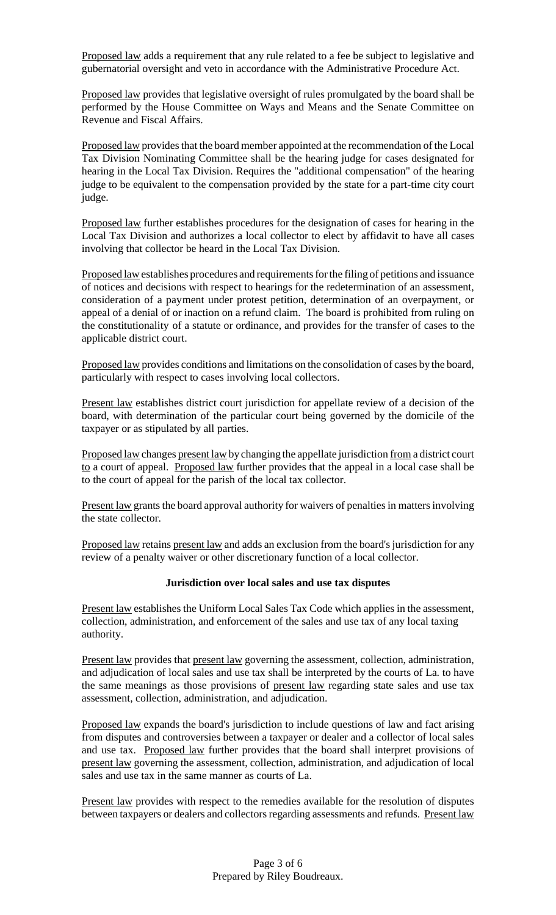Proposed law adds a requirement that any rule related to a fee be subject to legislative and gubernatorial oversight and veto in accordance with the Administrative Procedure Act.

Proposed law provides that legislative oversight of rules promulgated by the board shall be performed by the House Committee on Ways and Means and the Senate Committee on Revenue and Fiscal Affairs.

Proposed law provides that the board member appointed at the recommendation of the Local Tax Division Nominating Committee shall be the hearing judge for cases designated for hearing in the Local Tax Division. Requires the "additional compensation" of the hearing judge to be equivalent to the compensation provided by the state for a part-time city court judge.

Proposed law further establishes procedures for the designation of cases for hearing in the Local Tax Division and authorizes a local collector to elect by affidavit to have all cases involving that collector be heard in the Local Tax Division.

Proposed law establishes procedures and requirementsforthe filing of petitions and issuance of notices and decisions with respect to hearings for the redetermination of an assessment, consideration of a payment under protest petition, determination of an overpayment, or appeal of a denial of or inaction on a refund claim. The board is prohibited from ruling on the constitutionality of a statute or ordinance, and provides for the transfer of cases to the applicable district court.

Proposed law provides conditions and limitations on the consolidation of cases by the board, particularly with respect to cases involving local collectors.

Present law establishes district court jurisdiction for appellate review of a decision of the board, with determination of the particular court being governed by the domicile of the taxpayer or as stipulated by all parties.

Proposed law changes present law by changing the appellate jurisdiction from a district court to a court of appeal. Proposed law further provides that the appeal in a local case shall be to the court of appeal for the parish of the local tax collector.

Present law grants the board approval authority for waivers of penalties in matters involving the state collector.

Proposed law retains present law and adds an exclusion from the board's jurisdiction for any review of a penalty waiver or other discretionary function of a local collector.

## **Jurisdiction over local sales and use tax disputes**

Present law establishes the Uniform Local Sales Tax Code which applies in the assessment, collection, administration, and enforcement of the sales and use tax of any local taxing authority.

Present law provides that present law governing the assessment, collection, administration, and adjudication of local sales and use tax shall be interpreted by the courts of La. to have the same meanings as those provisions of present law regarding state sales and use tax assessment, collection, administration, and adjudication.

Proposed law expands the board's jurisdiction to include questions of law and fact arising from disputes and controversies between a taxpayer or dealer and a collector of local sales and use tax. Proposed law further provides that the board shall interpret provisions of present law governing the assessment, collection, administration, and adjudication of local sales and use tax in the same manner as courts of La.

Present law provides with respect to the remedies available for the resolution of disputes between taxpayers or dealers and collectors regarding assessments and refunds. Present law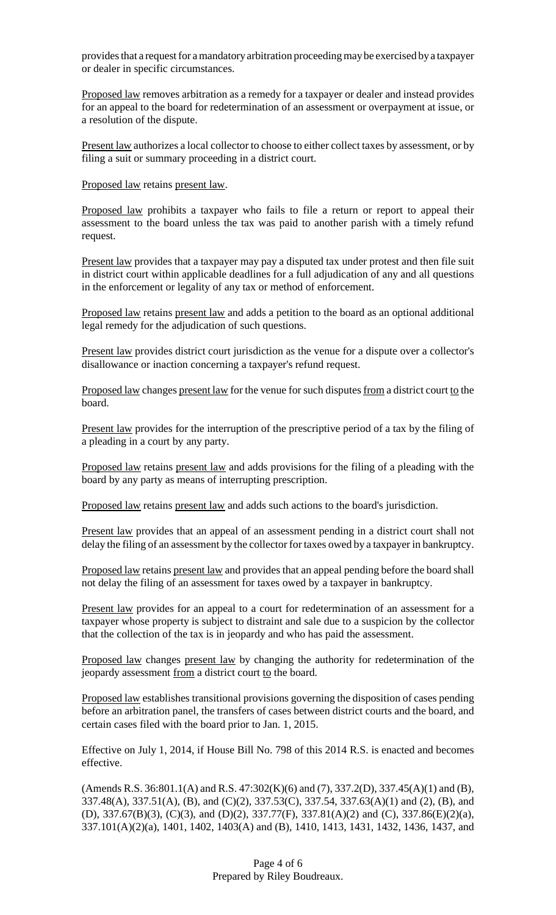provides that a request for a mandatory arbitration proceeding may be exercised by a taxpayer or dealer in specific circumstances.

Proposed law removes arbitration as a remedy for a taxpayer or dealer and instead provides for an appeal to the board for redetermination of an assessment or overpayment at issue, or a resolution of the dispute.

Present law authorizes a local collector to choose to either collect taxes by assessment, or by filing a suit or summary proceeding in a district court.

Proposed law retains present law.

Proposed law prohibits a taxpayer who fails to file a return or report to appeal their assessment to the board unless the tax was paid to another parish with a timely refund request.

Present law provides that a taxpayer may pay a disputed tax under protest and then file suit in district court within applicable deadlines for a full adjudication of any and all questions in the enforcement or legality of any tax or method of enforcement.

Proposed law retains present law and adds a petition to the board as an optional additional legal remedy for the adjudication of such questions.

Present law provides district court jurisdiction as the venue for a dispute over a collector's disallowance or inaction concerning a taxpayer's refund request.

Proposed law changes present law for the venue for such disputes from a district court to the board.

Present law provides for the interruption of the prescriptive period of a tax by the filing of a pleading in a court by any party.

Proposed law retains present law and adds provisions for the filing of a pleading with the board by any party as means of interrupting prescription.

Proposed law retains present law and adds such actions to the board's jurisdiction.

Present law provides that an appeal of an assessment pending in a district court shall not delay the filing of an assessment by the collector for taxes owed by a taxpayer in bankruptcy.

Proposed law retains present law and provides that an appeal pending before the board shall not delay the filing of an assessment for taxes owed by a taxpayer in bankruptcy.

Present law provides for an appeal to a court for redetermination of an assessment for a taxpayer whose property is subject to distraint and sale due to a suspicion by the collector that the collection of the tax is in jeopardy and who has paid the assessment.

Proposed law changes present law by changing the authority for redetermination of the jeopardy assessment from a district court to the board.

Proposed law establishes transitional provisions governing the disposition of cases pending before an arbitration panel, the transfers of cases between district courts and the board, and certain cases filed with the board prior to Jan. 1, 2015.

Effective on July 1, 2014, if House Bill No. 798 of this 2014 R.S. is enacted and becomes effective.

(Amends R.S. 36:801.1(A) and R.S. 47:302(K)(6) and (7), 337.2(D), 337.45(A)(1) and (B), 337.48(A), 337.51(A), (B), and (C)(2), 337.53(C), 337.54, 337.63(A)(1) and (2), (B), and (D), 337.67(B)(3), (C)(3), and (D)(2), 337.77(F), 337.81(A)(2) and (C), 337.86(E)(2)(a), 337.101(A)(2)(a), 1401, 1402, 1403(A) and (B), 1410, 1413, 1431, 1432, 1436, 1437, and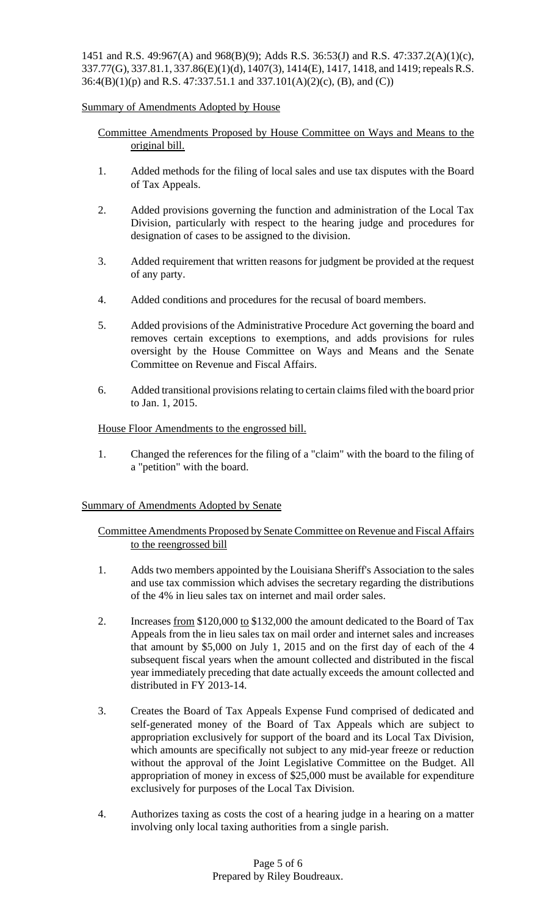1451 and R.S. 49:967(A) and 968(B)(9); Adds R.S. 36:53(J) and R.S. 47:337.2(A)(1)(c), 337.77(G), 337.81.1, 337.86(E)(1)(d), 1407(3), 1414(E), 1417, 1418, and 1419;repealsR.S. 36:4(B)(1)(p) and R.S. 47:337.51.1 and 337.101(A)(2)(c), (B), and (C))

# Summary of Amendments Adopted by House

- Committee Amendments Proposed by House Committee on Ways and Means to the original bill.
- 1. Added methods for the filing of local sales and use tax disputes with the Board of Tax Appeals.
- 2. Added provisions governing the function and administration of the Local Tax Division, particularly with respect to the hearing judge and procedures for designation of cases to be assigned to the division.
- 3. Added requirement that written reasons for judgment be provided at the request of any party.
- 4. Added conditions and procedures for the recusal of board members.
- 5. Added provisions of the Administrative Procedure Act governing the board and removes certain exceptions to exemptions, and adds provisions for rules oversight by the House Committee on Ways and Means and the Senate Committee on Revenue and Fiscal Affairs.
- 6. Added transitional provisionsrelating to certain claimsfiled with the board prior to Jan. 1, 2015.

## House Floor Amendments to the engrossed bill.

1. Changed the references for the filing of a "claim" with the board to the filing of a "petition" with the board.

## Summary of Amendments Adopted by Senate

Committee Amendments Proposed by Senate Committee on Revenue and Fiscal Affairs to the reengrossed bill

- 1. Adds two members appointed by the Louisiana Sheriff's Association to the sales and use tax commission which advises the secretary regarding the distributions of the 4% in lieu sales tax on internet and mail order sales.
- 2. Increases from \$120,000 to \$132,000 the amount dedicated to the Board of Tax Appeals from the in lieu sales tax on mail order and internet sales and increases that amount by \$5,000 on July 1, 2015 and on the first day of each of the 4 subsequent fiscal years when the amount collected and distributed in the fiscal year immediately preceding that date actually exceeds the amount collected and distributed in FY 2013-14.
- 3. Creates the Board of Tax Appeals Expense Fund comprised of dedicated and self-generated money of the Board of Tax Appeals which are subject to appropriation exclusively for support of the board and its Local Tax Division, which amounts are specifically not subject to any mid-year freeze or reduction without the approval of the Joint Legislative Committee on the Budget. All appropriation of money in excess of \$25,000 must be available for expenditure exclusively for purposes of the Local Tax Division.
- 4. Authorizes taxing as costs the cost of a hearing judge in a hearing on a matter involving only local taxing authorities from a single parish.